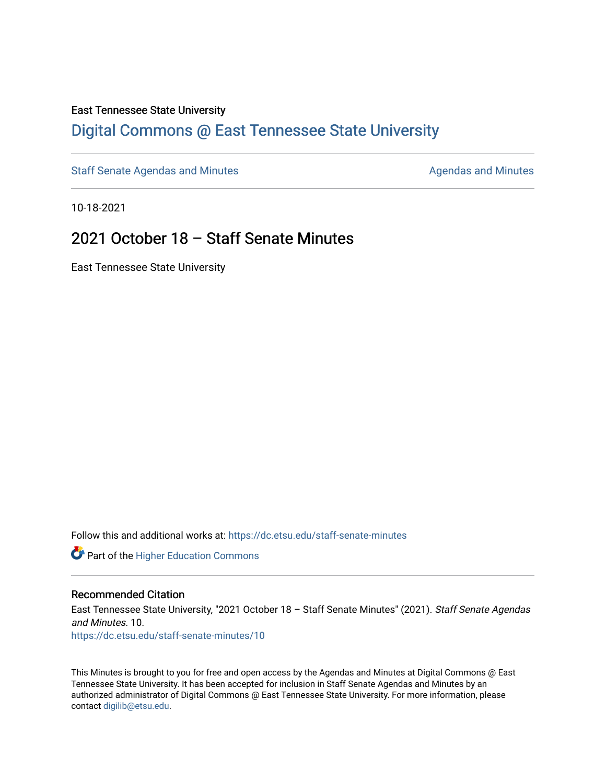#### East Tennessee State University

### [Digital Commons @ East Tennessee State University](https://dc.etsu.edu/)

[Staff Senate Agendas and Minutes](https://dc.etsu.edu/staff-senate-minutes) **Agent Agent Staff Senate Agendas and Minutes** Agendas and Minutes

10-18-2021

### 2021 October 18 – Staff Senate Minutes

East Tennessee State University

Follow this and additional works at: [https://dc.etsu.edu/staff-senate-minutes](https://dc.etsu.edu/staff-senate-minutes?utm_source=dc.etsu.edu%2Fstaff-senate-minutes%2F10&utm_medium=PDF&utm_campaign=PDFCoverPages)

**Part of the Higher Education Commons** 

#### Recommended Citation

East Tennessee State University, "2021 October 18 - Staff Senate Minutes" (2021). Staff Senate Agendas and Minutes. 10. [https://dc.etsu.edu/staff-senate-minutes/10](https://dc.etsu.edu/staff-senate-minutes/10?utm_source=dc.etsu.edu%2Fstaff-senate-minutes%2F10&utm_medium=PDF&utm_campaign=PDFCoverPages) 

This Minutes is brought to you for free and open access by the Agendas and Minutes at Digital Commons @ East Tennessee State University. It has been accepted for inclusion in Staff Senate Agendas and Minutes by an authorized administrator of Digital Commons @ East Tennessee State University. For more information, please contact [digilib@etsu.edu](mailto:digilib@etsu.edu).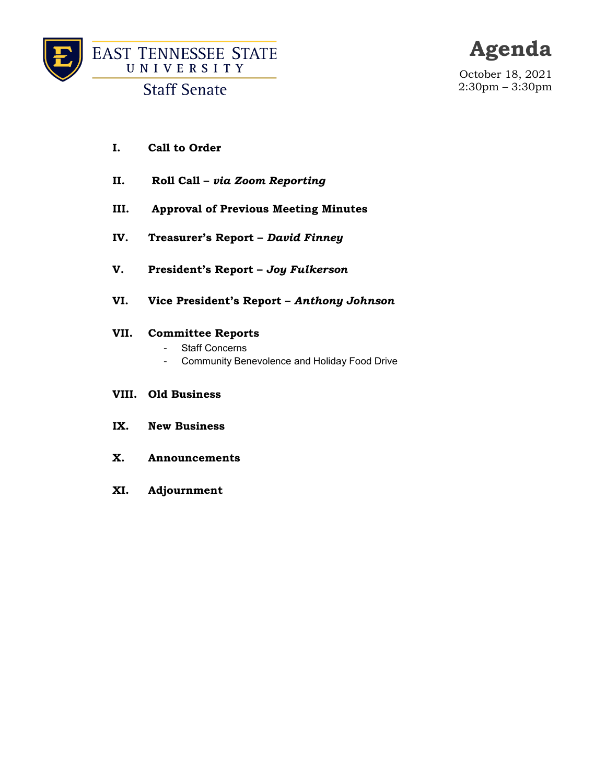

**Staff Senate** 

## **Agenda**

October 18, 2021 2:30pm – 3:30pm

- **I. Call to Order**
- **II. Roll Call –** *via Zoom Reporting*
- **III. Approval of Previous Meeting Minutes**
- **IV. Treasurer's Report –** *David Finney*
- **V. President's Report –** *Joy Fulkerson*
- **VI. Vice President's Report –** *Anthony Johnson*

#### **VII. Committee Reports**

- Staff Concerns
- Community Benevolence and Holiday Food Drive

#### **VIII. Old Business**

- **IX. New Business**
- **X. Announcements**
- **XI. Adjournment**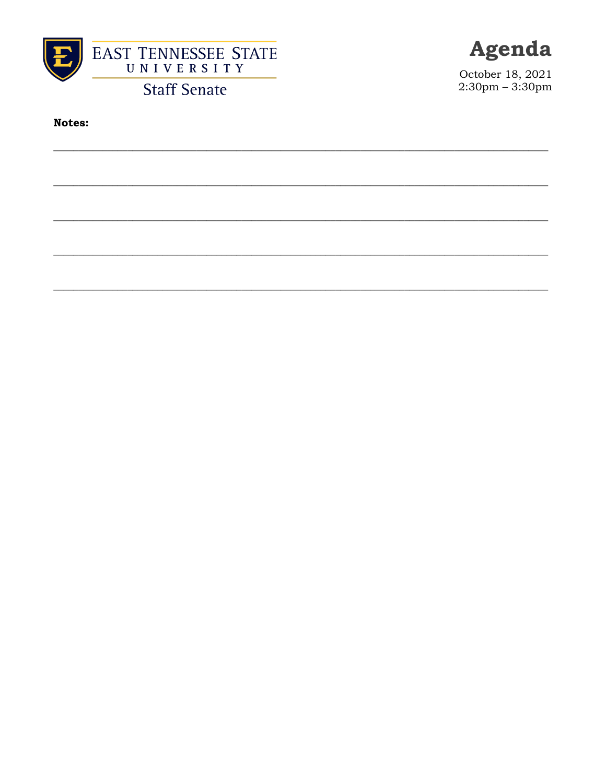

**Staff Senate** 



October 18, 2021<br>2:30pm – 3:30pm

**Notes:**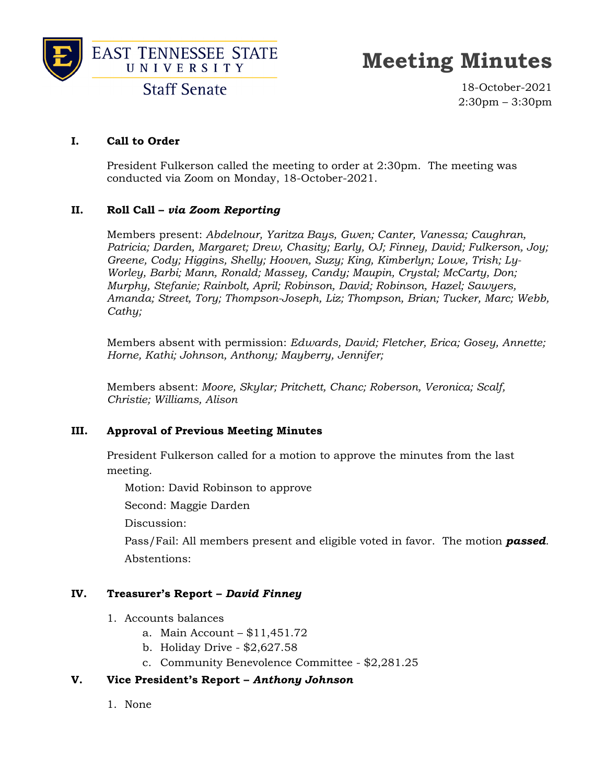



## **Meeting Minutes**

**Staff Senate** 

18-October-2021 2:30pm – 3:30pm

#### **I. Call to Order**

President Fulkerson called the meeting to order at 2:30pm. The meeting was conducted via Zoom on Monday, 18-October-2021.

#### **II. Roll Call –** *via Zoom Reporting*

Members present: *Abdelnour, Yaritza Bays, Gwen; Canter, Vanessa; Caughran, Patricia; Darden, Margaret; Drew, Chasity; Early, OJ; Finney, David; Fulkerson, Joy; Greene, Cody; Higgins, Shelly; Hooven, Suzy; King, Kimberlyn; Lowe, Trish; Ly-Worley, Barbi; Mann, Ronald; Massey, Candy; Maupin, Crystal; McCarty, Don; Murphy, Stefanie; Rainbolt, April; Robinson, David; Robinson, Hazel; Sawyers, Amanda; Street, Tory; Thompson-Joseph, Liz; Thompson, Brian; Tucker, Marc; Webb, Cathy;* 

Members absent with permission: *Edwards, David; Fletcher, Erica; Gosey, Annette; Horne, Kathi; Johnson, Anthony; Mayberry, Jennifer;* 

Members absent: *Moore, Skylar; Pritchett, Chanc; Roberson, Veronica; Scalf, Christie; Williams, Alison* 

#### **III. Approval of Previous Meeting Minutes**

President Fulkerson called for a motion to approve the minutes from the last meeting.

Motion: David Robinson to approve

Second: Maggie Darden

Discussion:

 Pass/Fail: All members present and eligible voted in favor. The motion *passed*. Abstentions:

#### **IV. Treasurer's Report –** *David Finney*

- 1. Accounts balances
	- a. Main Account \$11,451.72
	- b. Holiday Drive \$2,627.58
	- c. Community Benevolence Committee \$2,281.25

#### **V. Vice President's Report –** *Anthony Johnson*

1. None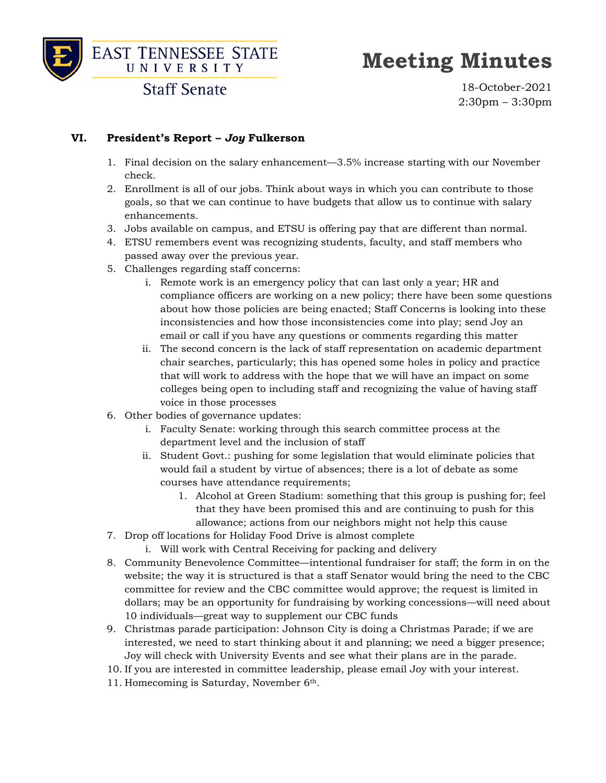

# **Meeting Minutes**

**Staff Senate** 

18-October-2021 2:30pm – 3:30pm

#### **VI. President's Report –** *Joy* **Fulkerson**

- 1. Final decision on the salary enhancement—3.5% increase starting with our November check.
- 2. Enrollment is all of our jobs. Think about ways in which you can contribute to those goals, so that we can continue to have budgets that allow us to continue with salary enhancements.
- 3. Jobs available on campus, and ETSU is offering pay that are different than normal.
- 4. ETSU remembers event was recognizing students, faculty, and staff members who passed away over the previous year.
- 5. Challenges regarding staff concerns:
	- i. Remote work is an emergency policy that can last only a year; HR and compliance officers are working on a new policy; there have been some questions about how those policies are being enacted; Staff Concerns is looking into these inconsistencies and how those inconsistencies come into play; send Joy an email or call if you have any questions or comments regarding this matter
	- ii. The second concern is the lack of staff representation on academic department chair searches, particularly; this has opened some holes in policy and practice that will work to address with the hope that we will have an impact on some colleges being open to including staff and recognizing the value of having staff voice in those processes
- 6. Other bodies of governance updates:
	- i. Faculty Senate: working through this search committee process at the department level and the inclusion of staff
	- ii. Student Govt.: pushing for some legislation that would eliminate policies that would fail a student by virtue of absences; there is a lot of debate as some courses have attendance requirements;
		- 1. Alcohol at Green Stadium: something that this group is pushing for; feel that they have been promised this and are continuing to push for this allowance; actions from our neighbors might not help this cause
- 7. Drop off locations for Holiday Food Drive is almost complete
	- i. Will work with Central Receiving for packing and delivery
- 8. Community Benevolence Committee—intentional fundraiser for staff; the form in on the website; the way it is structured is that a staff Senator would bring the need to the CBC committee for review and the CBC committee would approve; the request is limited in dollars; may be an opportunity for fundraising by working concessions—will need about 10 individuals—great way to supplement our CBC funds
- 9. Christmas parade participation: Johnson City is doing a Christmas Parade; if we are interested, we need to start thinking about it and planning; we need a bigger presence; Joy will check with University Events and see what their plans are in the parade.
- 10. If you are interested in committee leadership, please email Joy with your interest.
- 11. Homecoming is Saturday, November 6th.